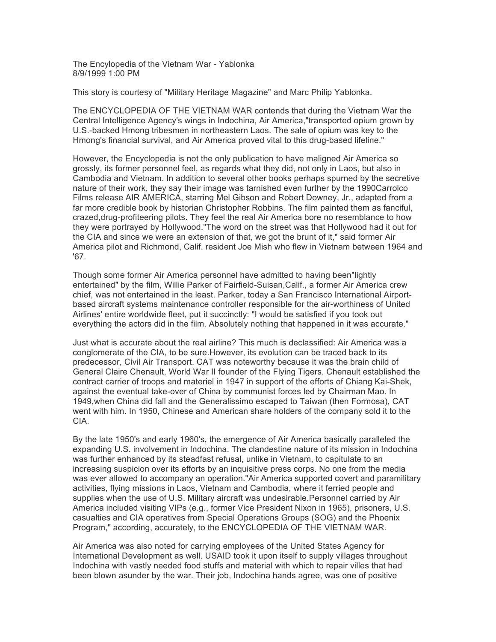The Encylopedia of the Vietnam War - Yablonka 8/9/1999 1:00 PM

This story is courtesy of "Military Heritage Magazine" and Marc Philip Yablonka.

The ENCYCLOPEDIA OF THE VIETNAM WAR contends that during the Vietnam War the Central Intelligence Agency's wings in Indochina, Air America,"transported opium grown by U.S.-backed Hmong tribesmen in northeastern Laos. The sale of opium was key to the Hmong's financial survival, and Air America proved vital to this drug-based lifeline."

However, the Encyclopedia is not the only publication to have maligned Air America so grossly, its former personnel feel, as regards what they did, not only in Laos, but also in Cambodia and Vietnam. In addition to several other books perhaps spurned by the secretive nature of their work, they say their image was tarnished even further by the 1990Carrolco Films release AIR AMERICA, starring Mel Gibson and Robert Downey, Jr., adapted from a far more credible book by historian Christopher Robbins. The film painted them as fanciful, crazed,drug-profiteering pilots. They feel the real Air America bore no resemblance to how they were portrayed by Hollywood."The word on the street was that Hollywood had it out for the CIA and since we were an extension of that, we got the brunt of it," said former Air America pilot and Richmond, Calif. resident Joe Mish who flew in Vietnam between 1964 and '67.

Though some former Air America personnel have admitted to having been"lightly entertained" by the film, Willie Parker of Fairfield-Suisan,Calif., a former Air America crew chief, was not entertained in the least. Parker, today a San Francisco International Airportbased aircraft systems maintenance controller responsible for the air-worthiness of United Airlines' entire worldwide fleet, put it succinctly: "I would be satisfied if you took out everything the actors did in the film. Absolutely nothing that happened in it was accurate."

Just what is accurate about the real airline? This much is declassified: Air America was a conglomerate of the CIA, to be sure.However, its evolution can be traced back to its predecessor, Civil Air Transport. CAT was noteworthy because it was the brain child of General Claire Chenault, World War II founder of the Flying Tigers. Chenault established the contract carrier of troops and materiel in 1947 in support of the efforts of Chiang Kai-Shek, against the eventual take-over of China by communist forces led by Chairman Mao. In 1949,when China did fall and the Generalissimo escaped to Taiwan (then Formosa), CAT went with him. In 1950, Chinese and American share holders of the company sold it to the CIA.

By the late 1950's and early 1960's, the emergence of Air America basically paralleled the expanding U.S. involvement in Indochina. The clandestine nature of its mission in Indochina was further enhanced by its steadfast refusal, unlike in Vietnam, to capitulate to an increasing suspicion over its efforts by an inquisitive press corps. No one from the media was ever allowed to accompany an operation."Air America supported covert and paramilitary activities, flying missions in Laos, Vietnam and Cambodia, where it ferried people and supplies when the use of U.S. Military aircraft was undesirable.Personnel carried by Air America included visiting VIPs (e.g., former Vice President Nixon in 1965), prisoners, U.S. casualties and CIA operatives from Special Operations Groups (SOG) and the Phoenix Program," according, accurately, to the ENCYCLOPEDIA OF THE VIETNAM WAR.

Air America was also noted for carrying employees of the United States Agency for International Development as well. USAID took it upon itself to supply villages throughout Indochina with vastly needed food stuffs and material with which to repair villes that had been blown asunder by the war. Their job, Indochina hands agree, was one of positive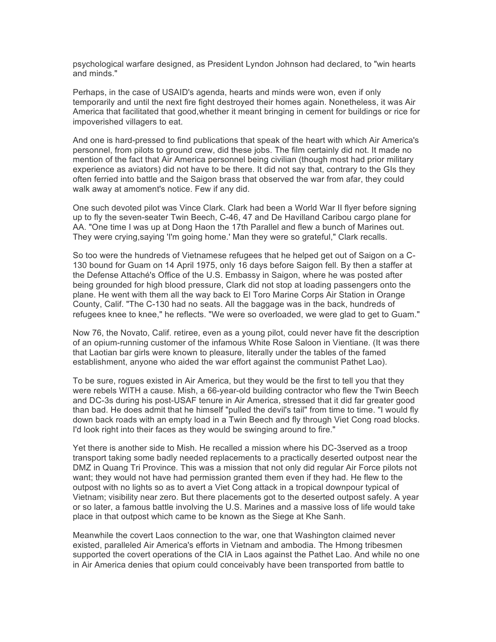psychological warfare designed, as President Lyndon Johnson had declared, to "win hearts and minds."

Perhaps, in the case of USAID's agenda, hearts and minds were won, even if only temporarily and until the next fire fight destroyed their homes again. Nonetheless, it was Air America that facilitated that good,whether it meant bringing in cement for buildings or rice for impoverished villagers to eat.

And one is hard-pressed to find publications that speak of the heart with which Air America's personnel, from pilots to ground crew, did these jobs. The film certainly did not. It made no mention of the fact that Air America personnel being civilian (though most had prior military experience as aviators) did not have to be there. It did not say that, contrary to the GIs they often ferried into battle and the Saigon brass that observed the war from afar, they could walk away at amoment's notice. Few if any did.

One such devoted pilot was Vince Clark. Clark had been a World War II flyer before signing up to fly the seven-seater Twin Beech, C-46, 47 and De Havilland Caribou cargo plane for AA. "One time I was up at Dong Haon the 17th Parallel and flew a bunch of Marines out. They were crying,saying 'I'm going home.' Man they were so grateful," Clark recalls.

So too were the hundreds of Vietnamese refugees that he helped get out of Saigon on a C-130 bound for Guam on 14 April 1975, only 16 days before Saigon fell. By then a staffer at the Defense Attaché's Office of the U.S. Embassy in Saigon, where he was posted after being grounded for high blood pressure, Clark did not stop at loading passengers onto the plane. He went with them all the way back to El Toro Marine Corps Air Station in Orange County, Calif. "The C-130 had no seats. All the baggage was in the back, hundreds of refugees knee to knee," he reflects. "We were so overloaded, we were glad to get to Guam."

Now 76, the Novato, Calif. retiree, even as a young pilot, could never have fit the description of an opium-running customer of the infamous White Rose Saloon in Vientiane. (It was there that Laotian bar girls were known to pleasure, literally under the tables of the famed establishment, anyone who aided the war effort against the communist Pathet Lao).

To be sure, rogues existed in Air America, but they would be the first to tell you that they were rebels WITH a cause. Mish, a 66-year-old building contractor who flew the Twin Beech and DC-3s during his post-USAF tenure in Air America, stressed that it did far greater good than bad. He does admit that he himself "pulled the devil's tail" from time to time. "I would fly down back roads with an empty load in a Twin Beech and fly through Viet Cong road blocks. I'd look right into their faces as they would be swinging around to fire."

Yet there is another side to Mish. He recalled a mission where his DC-3served as a troop transport taking some badly needed replacements to a practically deserted outpost near the DMZ in Quang Tri Province. This was a mission that not only did regular Air Force pilots not want; they would not have had permission granted them even if they had. He flew to the outpost with no lights so as to avert a Viet Cong attack in a tropical downpour typical of Vietnam; visibility near zero. But there placements got to the deserted outpost safely. A year or so later, a famous battle involving the U.S. Marines and a massive loss of life would take place in that outpost which came to be known as the Siege at Khe Sanh.

Meanwhile the covert Laos connection to the war, one that Washington claimed never existed, paralleled Air America's efforts in Vietnam and ambodia. The Hmong tribesmen supported the covert operations of the CIA in Laos against the Pathet Lao. And while no one in Air America denies that opium could conceivably have been transported from battle to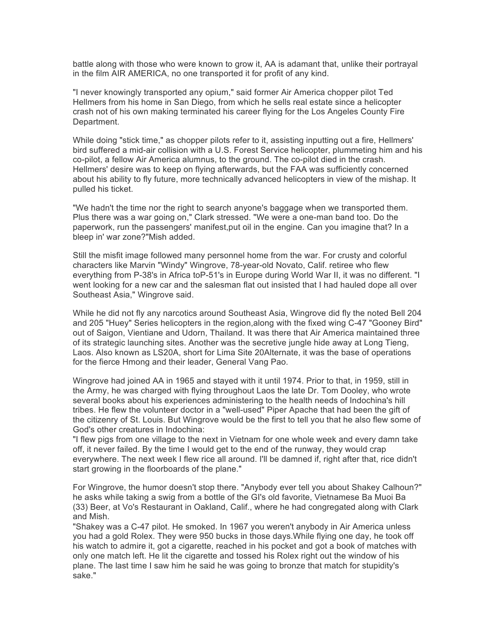battle along with those who were known to grow it, AA is adamant that, unlike their portrayal in the film AIR AMERICA, no one transported it for profit of any kind.

"I never knowingly transported any opium," said former Air America chopper pilot Ted Hellmers from his home in San Diego, from which he sells real estate since a helicopter crash not of his own making terminated his career flying for the Los Angeles County Fire Department.

While doing "stick time," as chopper pilots refer to it, assisting inputting out a fire, Hellmers' bird suffered a mid-air collision with a U.S. Forest Service helicopter, plummeting him and his co-pilot, a fellow Air America alumnus, to the ground. The co-pilot died in the crash. Hellmers' desire was to keep on flying afterwards, but the FAA was sufficiently concerned about his ability to fly future, more technically advanced helicopters in view of the mishap. It pulled his ticket.

"We hadn't the time nor the right to search anyone's baggage when we transported them. Plus there was a war going on," Clark stressed. "We were a one-man band too. Do the paperwork, run the passengers' manifest,put oil in the engine. Can you imagine that? In a bleep in' war zone?"Mish added.

Still the misfit image followed many personnel home from the war. For crusty and colorful characters like Marvin "Windy" Wingrove, 78-year-old Novato, Calif. retiree who flew everything from P-38's in Africa toP-51's in Europe during World War II, it was no different. "I went looking for a new car and the salesman flat out insisted that I had hauled dope all over Southeast Asia," Wingrove said.

While he did not fly any narcotics around Southeast Asia, Wingrove did fly the noted Bell 204 and 205 "Huey" Series helicopters in the region,along with the fixed wing C-47 "Gooney Bird" out of Saigon, Vientiane and Udorn, Thailand. It was there that Air America maintained three of its strategic launching sites. Another was the secretive jungle hide away at Long Tieng, Laos. Also known as LS20A, short for Lima Site 20Alternate, it was the base of operations for the fierce Hmong and their leader, General Vang Pao.

Wingrove had joined AA in 1965 and stayed with it until 1974. Prior to that, in 1959, still in the Army, he was charged with flying throughout Laos the late Dr. Tom Dooley, who wrote several books about his experiences administering to the health needs of Indochina's hill tribes. He flew the volunteer doctor in a "well-used" Piper Apache that had been the gift of the citizenry of St. Louis. But Wingrove would be the first to tell you that he also flew some of God's other creatures in Indochina:

"I flew pigs from one village to the next in Vietnam for one whole week and every damn take off, it never failed. By the time I would get to the end of the runway, they would crap everywhere. The next week I flew rice all around. I'll be damned if, right after that, rice didn't start growing in the floorboards of the plane."

For Wingrove, the humor doesn't stop there. "Anybody ever tell you about Shakey Calhoun?" he asks while taking a swig from a bottle of the GI's old favorite, Vietnamese Ba Muoi Ba (33) Beer, at Vo's Restaurant in Oakland, Calif., where he had congregated along with Clark and Mish.

"Shakey was a C-47 pilot. He smoked. In 1967 you weren't anybody in Air America unless you had a gold Rolex. They were 950 bucks in those days.While flying one day, he took off his watch to admire it, got a cigarette, reached in his pocket and got a book of matches with only one match left. He lit the cigarette and tossed his Rolex right out the window of his plane. The last time I saw him he said he was going to bronze that match for stupidity's sake."